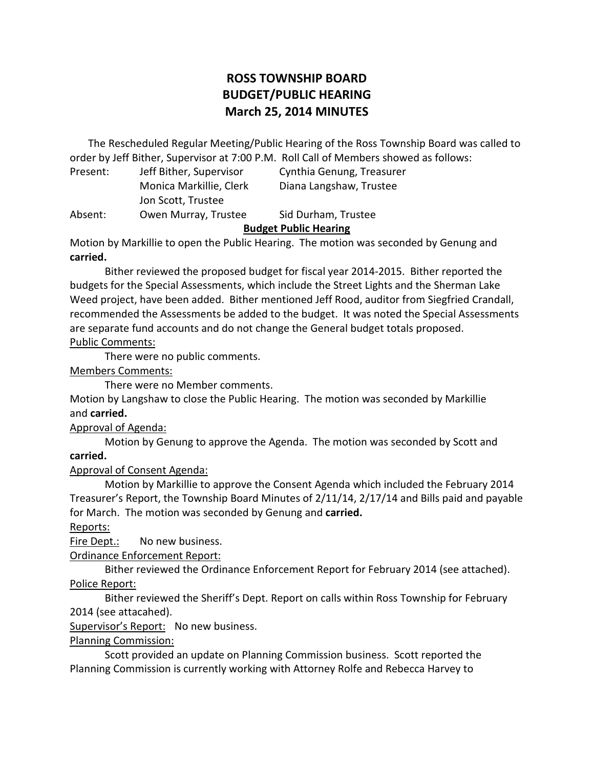# **ROSS TOWNSHIP BOARD BUDGET/PUBLIC HEARING March 25, 2014 MINUTES**

 order by Jeff Bither, Supervisor at 7:00 P.M. Roll Call of Members showed as follows: The Rescheduled Regular Meeting/Public Hearing of the Ross Township Board was called to

| Present: | Jeff Bither, Supervisor | Cynthia Genung, Treasurer |
|----------|-------------------------|---------------------------|
|          | Monica Markillie, Clerk | Diana Langshaw, Trustee   |
|          | Jon Scott, Trustee      |                           |
| Absent:  | Owen Murray, Trustee    | Sid Durham, Trustee       |
|          |                         |                           |

# **Budget Public Hearing**

 Motion by Markillie to open the Public Hearing. The motion was seconded by Genung and **carried.** 

 Bither reviewed the proposed budget for fiscal year 2014-2015. Bither reported the budgets for the Special Assessments, which include the Street Lights and the Sherman Lake Weed project, have been added. Bither mentioned Jeff Rood, auditor from Siegfried Crandall, recommended the Assessments be added to the budget. It was noted the Special Assessments are separate fund accounts and do not change the General budget totals proposed.

#### Public Comments:

There were no public comments.

#### Members Comments:

There were no Member comments.

 Motion by Langshaw to close the Public Hearing. The motion was seconded by Markillie and **carried.** 

## Approval of Agenda:

 Motion by Genung to approve the Agenda. The motion was seconded by Scott and **carried.** 

## Approval of Consent Agenda:

 Motion by Markillie to approve the Consent Agenda which included the February 2014 Treasurer's Report, the Township Board Minutes of 2/11/14, 2/17/14 and Bills paid and payable for March. The motion was seconded by Genung and **carried.** 

## Reports:

Fire Dept.: No new business.

Ordinance Enforcement Report:

 Bither reviewed the Ordinance Enforcement Report for February 2014 (see attached). Police Report:

 Bither reviewed the Sheriff's Dept. Report on calls within Ross Township for February 2014 (see attacahed).

Supervisor's Report: No new business.

## Planning Commission:

 Scott provided an update on Planning Commission business. Scott reported the Planning Commission is currently working with Attorney Rolfe and Rebecca Harvey to